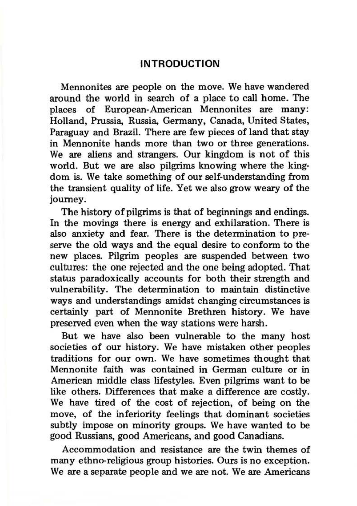## **INTRODUCTION**

Mennonites are people on the move. We have wandered around the world in search of a place to call home. The places of European-American Mennonites are many: Holland, Prussia, Russia, Germany, Canada, United States, Paraguay and Brazil. There are few pieces of land that stay in Mennonite hands more than two or three generations. We are aliens and strangers. Our kingdom is not of this world. But we are also pilgrims knowing where the kingdom is. We take something of our self-understanding from the transient quality of life. Yet we also grow weary of the journey.

The history of pilgrims is that of beginnings and endings. In the movings there is energy and exhilaration. There is also anxiety and fear. There is the determination to preserve the old ways and the equal desire to conform to the new places. Pilgrim peoples are suspended between two cultures: the one rejected and the one being adopted. That status paradoxically accounts for both their strength and vulnerability. The determination to maintain distinctive ways and understandings amidst changing circumstances is certainly part of Mennonite Brethren history. We have preserved even when the way stations were harsh.

But we have also been vulnerable to the many host societies of our history. We have mistaken other peoples traditions for our own. We have sometimes thought that Mennonite faith was contained in German culture or in American middle class lifestyles. Even pilgrims want to be like others. Differences that make a difference are costly. We have tired of the cost of rejection, of being on the move, of the inferiority feelings that dominant societies subtly impose on minority groups. We have wanted to be good Russians, good Americans, and good Canadians.

Accommodation and resistance are the twin themes of many ethno-religious group histories. Ours is no exception. We are a separate people and we are not. We are Americans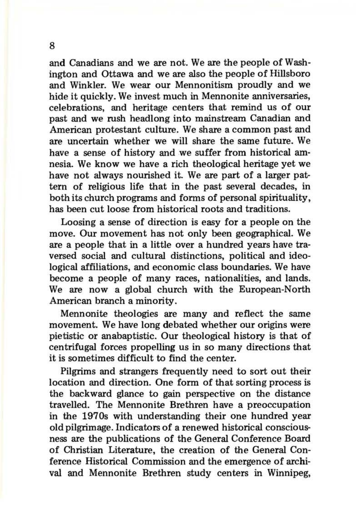and Canadians and we are not. We are the people of Washington and Ottawa and we are also the people of Hillsboro and Winkler. We wear our Mennonitism proudly and we hide it quickly. We invest much in Mennonite anniversaries, celebrations, and heritage centers that remind us of our past and we rush headlong into mainstream Canadian and American protestant culture. We share a common past and are uncertain whether we will share the same future. We have a sense of history and we suffer from historical amnesia. We know we have a rich theological heritage yet we have not always nourished it. We are part of a larger pattern of religious life that in the past several decades, in both its church programs and forms of personal spirituality, has been cut loose from historical roots and traditions.

Loosing a sense of direction is easy for a people on the move. Our movement has not only been geographical. We are a people that in a little over a hundred years have traversed social and cultural distinctions, political and ideological affiliations, and economic class boundaries. We have become a people of many races, nationalities, and lands. We are now a global church with the European-North American branch a minority.

Mennonite theologies are many and reflect the same movement. We have long debated whether our origins were pietistic or anabaptistic. Our theological history is that of centrifugal forces propelling us in so many directions that it is sometimes difficult to find the center.

Pilgrims and strangers frequently need to sort out their location and direction. One form of that sorting process is the backward glance to gain perspective on the distance travelled. The Mennonite Brethren have a preoccupation in the 1970s with understanding their one hundred year old pilgrimage. Indicators of a renewed historical consciousness are the publications of the General Conference Board of Christian Literature, the creation of the General Conference Historical Commission and the emergence of archival and Mennonite Brethren study centers in Winnipeg,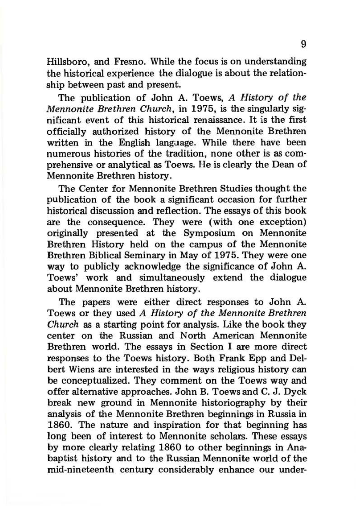Hillsboro, and Fresno. While the focus is on understanding the historical experience the dialogue is about the relationship between past and present.

The publication of John A. Toews, *A History of the Mennonite Brethren Church,* in 1975, is the singularly significant event of this historical renaissance. It is the first officially authorized history of the Mennonite Brethren written in the English langaage. While there have been numerous histories of the tradition, none other is as comprehensive or analytical as Toews. He is clearly the Dean of Mennonite Brethren history.

The Center for Mennonite Brethren Studies thought the publication of the book a significant occasion for further historical discussion and reflection. The essays of this book are the consequence. They were (with one exception) originally presented at the Symposium on Mennonite Brethren History held on the campus of the Mennonite Brethren Biblical Seminary in May of 1975. They were one way to publicly acknowledge the significance of John A. Toews' work and simultaneously extend the dialogue about Mennonite Brethren history.

The papers were either direct responses to John A. Toews or they used *A History of the Mennonite Brethren Church* as a starting point for analysis. Like the book they center on the Russian and North American Mennonite Brethren world. The essays in Section I are more direct responses to the Toews history. Both Frank Epp and Delbert Wiens are interested in the ways religious history can be conceptualized. They comment on the Toews way and offer alternative approaches. John B. Toews and C. J. Dyck break new ground in Mennonite historiography by their analysis of the Mennonite Brethren beginnings in Russia in 1860. The nature and inspiration for that beginning has long been of interest to Mennonite scholars. These essays by more clearly relating 1860 to other beginnings in Anabaptist history and to the Russian Mennonite world of the mid-nineteenth century considerably enhance our under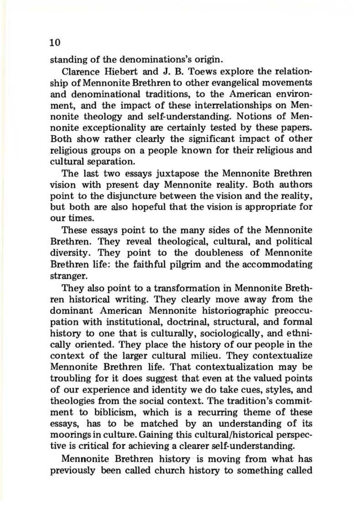standing of the denominations's origin.

Clarence Hiebert and J. B. Toews explore the relationship of Mennonite Brethren to other evangelical movements and denominational traditions, to the American environment, and the impact of these interrelationships on Mennonite theology and self-understanding. Notions of Mennonite exceptionality are certainly tested by these papers. Both show rather clearly the significant impact of other religious groups on a people known for their religious and cultural separation.

The last two essays juxtapose the Mennonite Brethren vision with present day Mennonite reality. Both authors point to the disjuncture between the vision and the reality, but both are also hopeful that the vision is appropriate for our times.

These essays point to the many sides of the Mennonite Brethren. They reveal theological, cultural, and political diversity. They point to the doubleness of Mennonite Brethren life: the faithful pilgrim and the accommodating stranger.

They also point to a transformation in Mennonite Brethren historical writing. They clearly move away from the dominant American Mennonite historiographic preoccupation with institutional, doctrinal, structural, and formal history to one that is culturally, sociologically, and ethnically oriented. They place the history of our people in the context of the larger cultural milieu. They contextualize Mennonite Brethren life. That contextualization may be troubling for it does suggest that even at the valued points of our experience and identity we do take cues, styles, and theologies from the social context. The tradition's commitment to biblicism, which is a recurring theme of these essays, has to be matched by an understanding of its moorings in culture. Gaining this cultural/historical perspective is critical for achieving a clearer self-understanding.

Mennonite Brethren history is moving from what has previously been called church history to something called